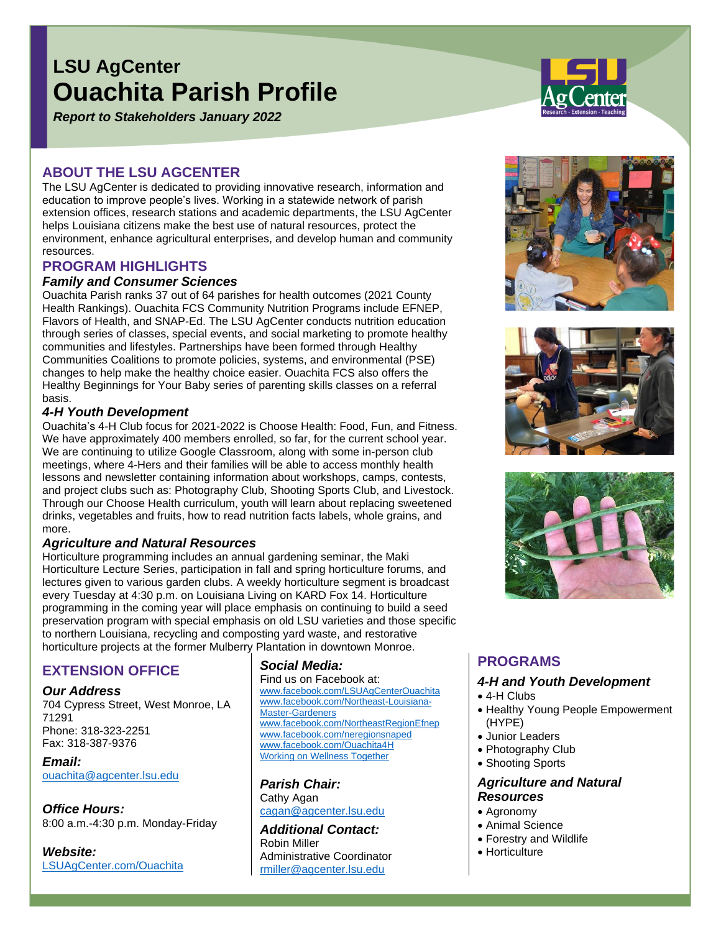# **LSU AgCenter Ouachita Parish Profile**

*Report to Stakeholders January 2022*

## **ABOUT THE LSU AGCENTER**

The LSU AgCenter is dedicated to providing innovative research, information and education to improve people's lives. Working in a statewide network of parish extension offices, research stations and academic departments, the LSU AgCenter helps Louisiana citizens make the best use of natural resources, protect the environment, enhance agricultural enterprises, and develop human and community resources.

## **PROGRAM HIGHLIGHTS**

## *Family and Consumer Sciences*

Ouachita Parish ranks 37 out of 64 parishes for health outcomes (2021 County Health Rankings). Ouachita FCS Community Nutrition Programs include EFNEP, Flavors of Health, and SNAP-Ed. The LSU AgCenter conducts nutrition education through series of classes, special events, and social marketing to promote healthy communities and lifestyles. Partnerships have been formed through Healthy Communities Coalitions to promote policies, systems, and environmental (PSE) changes to help make the healthy choice easier. Ouachita FCS also offers the Healthy Beginnings for Your Baby series of parenting skills classes on a referral basis.

#### *4-H Youth Development*

Ouachita's 4-H Club focus for 2021-2022 is Choose Health: Food, Fun, and Fitness. We have approximately 400 members enrolled, so far, for the current school year. We are continuing to utilize Google Classroom, along with some in-person club meetings, where 4-Hers and their families will be able to access monthly health lessons and newsletter containing information about workshops, camps, contests, and project clubs such as: Photography Club, Shooting Sports Club, and Livestock. Through our Choose Health curriculum, youth will learn about replacing sweetened drinks, vegetables and fruits, how to read nutrition facts labels, whole grains, and more.

#### *Agriculture and Natural Resources*

Horticulture programming includes an annual gardening seminar, the Maki Horticulture Lecture Series, participation in fall and spring horticulture forums, and lectures given to various garden clubs. A weekly horticulture segment is broadcast every Tuesday at 4:30 p.m. on Louisiana Living on KARD Fox 14. Horticulture programming in the coming year will place emphasis on continuing to build a seed preservation program with special emphasis on old LSU varieties and those specific to northern Louisiana, recycling and composting yard waste, and restorative horticulture projects at the former Mulberry Plantation in downtown Monroe.

## **EXTENSION OFFICE**

#### *Our Address*

704 Cypress Street, West Monroe, LA 71291 Phone: 318-323-2251 Fax: 318-387-9376

*Email:* [ouachita@agcenter.lsu.edu](mailto:ouachita@agcenter.lsu.edu)

*Office Hours:* 8:00 a.m.-4:30 p.m. Monday-Friday

*Website:* [LSUAgCenter.com/Ouachita](https://lsuagcenter.com/portals/our_offices/parishes/ouachita)

## *Social Media:*

Find us on Facebook at: [www.facebook.com/LSUAgCenterOuachita](https://www.facebook.com/LSUAgCenterOuachita) [www.facebook.com/Northeast-Louisiana-](https://www.facebook.com/Northeast-Louisiana-Master-Gardeners-165764436955575)[Master-Gardeners](https://www.facebook.com/Northeast-Louisiana-Master-Gardeners-165764436955575) [www.facebook.com/NortheastRegionEfnep](https://www.facebook.com/northeastregionefnep) [www.facebook.com/neregionsnaped](https://www.facebook.com/neregionsnaped) [www.facebook.com/Ouachita4H](https://www.facebook.com/Ouachita4H) [Working on Wellness Together](https://www.facebook.com/groups/275933343459818)

*Parish Chair:* Cathy Agan [cagan@agcenter.lsu.edu](mailto:cagan@agcenter.lsu.edu)

*Additional Contact:* Robin Miller Administrative Coordinator [rmiller@agcenter.lsu.edu](mailto:rmiller@agcenter.lsu.edu)







# **PROGRAMS**

#### *4-H and Youth Development*

- 4-H Clubs
- Healthy Young People Empowerment (HYPE)
- Junior Leaders
- Photography Club
- Shooting Sports

### *Agriculture and Natural Resources*

- Agronomy
- Animal Science
- Forestry and Wildlife
- Horticulture